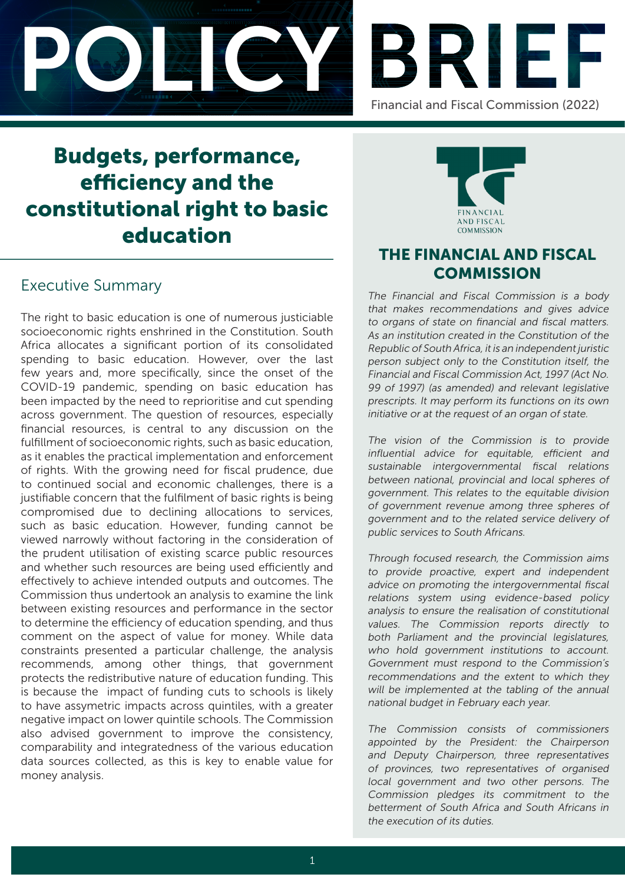



# Budgets, performance, efficiency and the constitutional right to basic education

# Executive Summary

The right to basic education is one of numerous justiciable socioeconomic rights enshrined in the Constitution. South Africa allocates a significant portion of its consolidated spending to basic education. However, over the last few years and, more specifically, since the onset of the COVID-19 pandemic, spending on basic education has been impacted by the need to reprioritise and cut spending across government. The question of resources, especially financial resources, is central to any discussion on the fulfillment of socioeconomic rights, such as basic education, as it enables the practical implementation and enforcement of rights. With the growing need for fiscal prudence, due to continued social and economic challenges, there is a justifiable concern that the fulfilment of basic rights is being compromised due to declining allocations to services, such as basic education. However, funding cannot be viewed narrowly without factoring in the consideration of the prudent utilisation of existing scarce public resources and whether such resources are being used efficiently and effectively to achieve intended outputs and outcomes. The Commission thus undertook an analysis to examine the link between existing resources and performance in the sector to determine the efficiency of education spending, and thus comment on the aspect of value for money. While data constraints presented a particular challenge, the analysis recommends, among other things, that government protects the redistributive nature of education funding. This is because the impact of funding cuts to schools is likely to have assymetric impacts across quintiles, with a greater negative impact on lower quintile schools. The Commission also advised government to improve the consistency, comparability and integratedness of the various education data sources collected, as this is key to enable value for money analysis.



# THE FINANCIAL AND FISCAL **COMMISSION**

The Financial and Fiscal Commission is a body that makes recommendations and gives advice to organs of state on financial and fiscal matters. As an institution created in the Constitution of the Republic of South Africa, it is an independent juristic person subject only to the Constitution itself, the Financial and Fiscal Commission Act, 1997 (Act No. 99 of 1997) (as amended) and relevant legislative prescripts. It may perform its functions on its own initiative or at the request of an organ of state.

The vision of the Commission is to provide influential advice for equitable, efficient and sustainable intergovernmental fiscal relations between national, provincial and local spheres of government. This relates to the equitable division of government revenue among three spheres of government and to the related service delivery of public services to South Africans.

Through focused research, the Commission aims to provide proactive, expert and independent advice on promoting the intergovernmental fiscal relations system using evidence-based policy analysis to ensure the realisation of constitutional values. The Commission reports directly to both Parliament and the provincial legislatures, who hold government institutions to account. Government must respond to the Commission's recommendations and the extent to which they will be implemented at the tabling of the annual national budget in February each year.

The Commission consists of commissioners appointed by the President: the Chairperson and Deputy Chairperson, three representatives of provinces, two representatives of organised local government and two other persons. The Commission pledges its commitment to the betterment of South Africa and South Africans in the execution of its duties.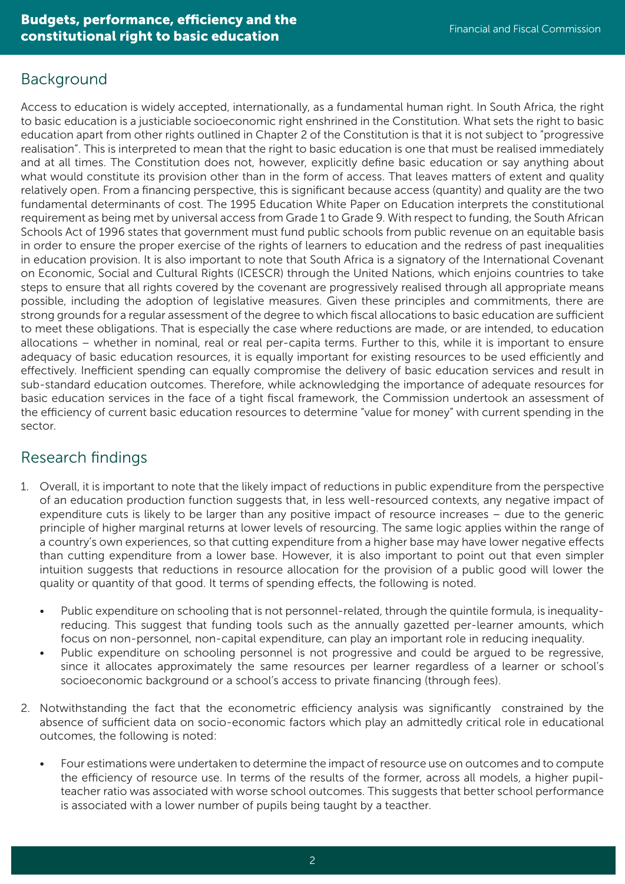# Background

Access to education is widely accepted, internationally, as a fundamental human right. In South Africa, the right to basic education is a justiciable socioeconomic right enshrined in the Constitution. What sets the right to basic education apart from other rights outlined in Chapter 2 of the Constitution is that it is not subject to "progressive realisation". This is interpreted to mean that the right to basic education is one that must be realised immediately and at all times. The Constitution does not, however, explicitly define basic education or say anything about what would constitute its provision other than in the form of access. That leaves matters of extent and quality relatively open. From a financing perspective, this is significant because access (quantity) and quality are the two fundamental determinants of cost. The 1995 Education White Paper on Education interprets the constitutional requirement as being met by universal access from Grade 1 to Grade 9. With respect to funding, the South African Schools Act of 1996 states that government must fund public schools from public revenue on an equitable basis in order to ensure the proper exercise of the rights of learners to education and the redress of past inequalities in education provision. It is also important to note that South Africa is a signatory of the International Covenant on Economic, Social and Cultural Rights (ICESCR) through the United Nations, which enjoins countries to take steps to ensure that all rights covered by the covenant are progressively realised through all appropriate means possible, including the adoption of legislative measures. Given these principles and commitments, there are strong grounds for a regular assessment of the degree to which fiscal allocations to basic education are sufficient to meet these obligations. That is especially the case where reductions are made, or are intended, to education allocations – whether in nominal, real or real per-capita terms. Further to this, while it is important to ensure adequacy of basic education resources, it is equally important for existing resources to be used efficiently and effectively. Inefficient spending can equally compromise the delivery of basic education services and result in sub-standard education outcomes. Therefore, while acknowledging the importance of adequate resources for basic education services in the face of a tight fiscal framework, the Commission undertook an assessment of the efficiency of current basic education resources to determine "value for money" with current spending in the sector.

## Research findings

- 1. Overall, it is important to note that the likely impact of reductions in public expenditure from the perspective of an education production function suggests that, in less well-resourced contexts, any negative impact of expenditure cuts is likely to be larger than any positive impact of resource increases – due to the generic principle of higher marginal returns at lower levels of resourcing. The same logic applies within the range of a country's own experiences, so that cutting expenditure from a higher base may have lower negative effects than cutting expenditure from a lower base. However, it is also important to point out that even simpler intuition suggests that reductions in resource allocation for the provision of a public good will lower the quality or quantity of that good. It terms of spending effects, the following is noted.
	- Public expenditure on schooling that is not personnel-related, through the quintile formula, is inequalityreducing. This suggest that funding tools such as the annually gazetted per-learner amounts, which focus on non-personnel, non-capital expenditure, can play an important role in reducing inequality.
	- Public expenditure on schooling personnel is not progressive and could be argued to be regressive, since it allocates approximately the same resources per learner regardless of a learner or school's socioeconomic background or a school's access to private financing (through fees).
- 2. Notwithstanding the fact that the econometric efficiency analysis was significantly constrained by the absence of sufficient data on socio-economic factors which play an admittedly critical role in educational outcomes, the following is noted:
	- Four estimations were undertaken to determine the impact of resource use on outcomes and to compute the efficiency of resource use. In terms of the results of the former, across all models, a higher pupilteacher ratio was associated with worse school outcomes. This suggests that better school performance is associated with a lower number of pupils being taught by a teacther.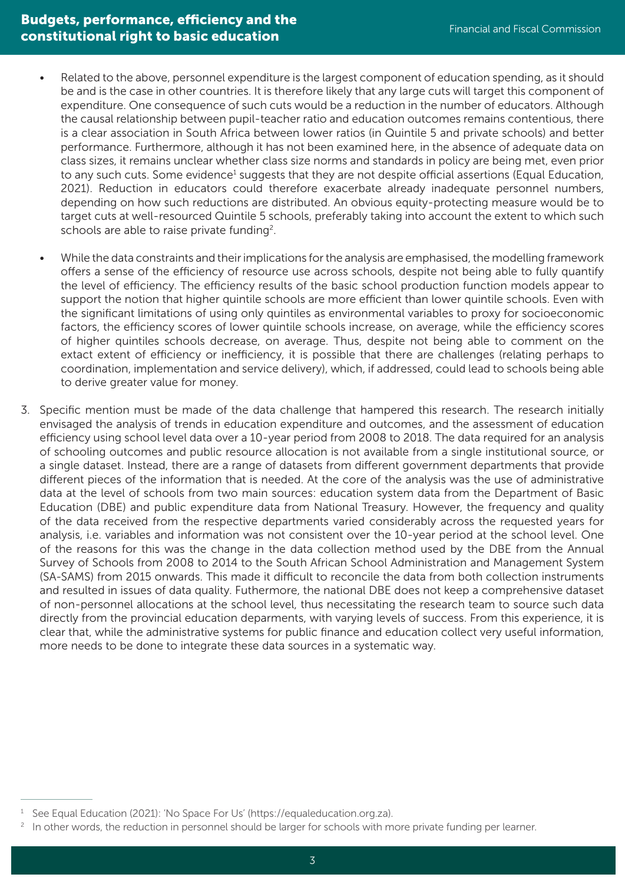- Related to the above, personnel expenditure is the largest component of education spending, as it should be and is the case in other countries. It is therefore likely that any large cuts will target this component of expenditure. One consequence of such cuts would be a reduction in the number of educators. Although the causal relationship between pupil-teacher ratio and education outcomes remains contentious, there is a clear association in South Africa between lower ratios (in Quintile 5 and private schools) and better performance. Furthermore, although it has not been examined here, in the absence of adequate data on class sizes, it remains unclear whether class size norms and standards in policy are being met, even prior to any such cuts. Some evidence<sup>1</sup> suggests that they are not despite official assertions (Equal Education, 2021). Reduction in educators could therefore exacerbate already inadequate personnel numbers, depending on how such reductions are distributed. An obvious equity-protecting measure would be to target cuts at well-resourced Quintile 5 schools, preferably taking into account the extent to which such schools are able to raise private funding<sup>2</sup>.
- While the data constraints and their implications for the analysis are emphasised, the modelling framework offers a sense of the efficiency of resource use across schools, despite not being able to fully quantify the level of efficiency. The efficiency results of the basic school production function models appear to support the notion that higher quintile schools are more efficient than lower quintile schools. Even with the significant limitations of using only quintiles as environmental variables to proxy for socioeconomic factors, the efficiency scores of lower quintile schools increase, on average, while the efficiency scores of higher quintiles schools decrease, on average. Thus, despite not being able to comment on the extact extent of efficiency or inefficiency, it is possible that there are challenges (relating perhaps to coordination, implementation and service delivery), which, if addressed, could lead to schools being able to derive greater value for money.
- 3. Specific mention must be made of the data challenge that hampered this research. The research initially envisaged the analysis of trends in education expenditure and outcomes, and the assessment of education efficiency using school level data over a 10-year period from 2008 to 2018. The data required for an analysis of schooling outcomes and public resource allocation is not available from a single institutional source, or a single dataset. Instead, there are a range of datasets from different government departments that provide different pieces of the information that is needed. At the core of the analysis was the use of administrative data at the level of schools from two main sources: education system data from the Department of Basic Education (DBE) and public expenditure data from National Treasury. However, the frequency and quality of the data received from the respective departments varied considerably across the requested years for analysis, i.e. variables and information was not consistent over the 10-year period at the school level. One of the reasons for this was the change in the data collection method used by the DBE from the Annual Survey of Schools from 2008 to 2014 to the South African School Administration and Management System (SA-SAMS) from 2015 onwards. This made it difficult to reconcile the data from both collection instruments and resulted in issues of data quality. Futhermore, the national DBE does not keep a comprehensive dataset of non-personnel allocations at the school level, thus necessitating the research team to source such data directly from the provincial education deparments, with varying levels of success. From this experience, it is clear that, while the administrative systems for public finance and education collect very useful information, more needs to be done to integrate these data sources in a systematic way.

See Equal Education (2021): 'No Space For Us' (https://equaleducation.org.za).

<sup>&</sup>lt;sup>2</sup> In other words, the reduction in personnel should be larger for schools with more private funding per learner.